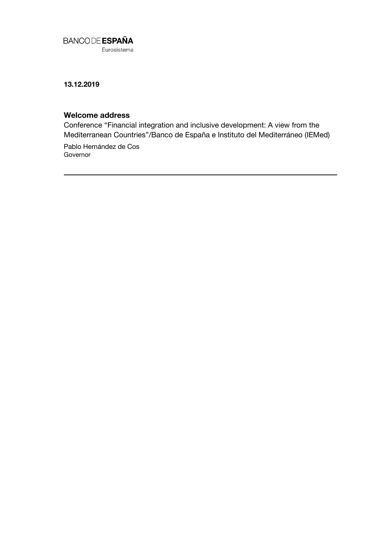

Eurosistema

**13.12.2019**

## **Welcome address**

Conference "Financial integration and inclusive development: A view from the Mediterranean Countries"/Banco de España e Instituto del Mediterráneo (IEMed)

Pablo Hernández de Cos Governor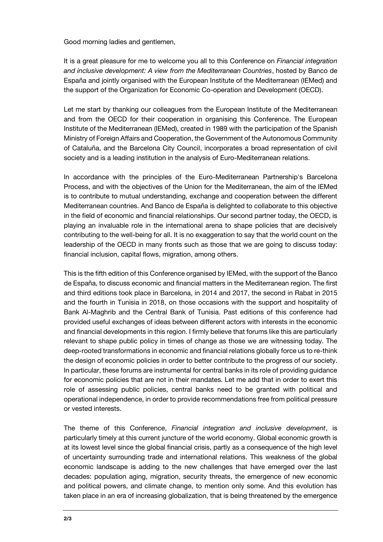Good morning ladies and gentlemen,

It is a great pleasure for me to welcome you all to this Conference on *Financial integration and inclusive development: A view from the Mediterranean Countries*, hosted by Banco de España and jointly organised with the European Institute of the Mediterranean (IEMed) and the support of the Organization for Economic Co-operation and Development (OECD).

Let me start by thanking our colleagues from the European Institute of the Mediterranean and from the OECD for their cooperation in organising this Conference. The European Institute of the Mediterranean (IEMed), created in 1989 with the participation of the Spanish Ministry of Foreign Affairs and Cooperation, the Government of the Autonomous Community of Cataluña, and the Barcelona City Council, incorporates a broad representation of civil society and is a leading institution in the analysis of Euro-Mediterranean relations.

In accordance with the principles of the Euro-Mediterranean Partnership's Barcelona Process, and with the objectives of the Union for the Mediterranean, the aim of the IEMed is to contribute to mutual understanding, exchange and cooperation between the different Mediterranean countries. And Banco de España is delighted to collaborate to this objective in the field of economic and financial relationships. Our second partner today, the OECD, is playing an invaluable role in the international arena to shape policies that are decisively contributing to the well-being for all. It is no exaggeration to say that the world count on the leadership of the OECD in many fronts such as those that we are going to discuss today: financial inclusion, capital flows, migration, among others.

This is the fifth edition of this Conference organised by IEMed, with the support of the Banco de España, to discuss economic and financial matters in the Mediterranean region. The first and third editions took place in Barcelona, in 2014 and 2017, the second in Rabat in 2015 and the fourth in Tunisia in 2018, on those occasions with the support and hospitality of Bank Al-Maghrib and the Central Bank of Tunisia. Past editions of this conference had provided useful exchanges of ideas between different actors with interests in the economic and financial developments in this region. I firmly believe that forums like this are particularly relevant to shape public policy in times of change as those we are witnessing today. The deep-rooted transformations in economic and financial relations globally force us to re-think the design of economic policies in order to better contribute to the progress of our society. In particular, these forums are instrumental for central banks in its role of providing guidance for economic policies that are not in their mandates. Let me add that in order to exert this role of assessing public policies, central banks need to be granted with political and operational independence, in order to provide recommendations free from political pressure or vested interests.

The theme of this Conference, *Financial integration and inclusive development*, is particularly timely at this current juncture of the world economy. Global economic growth is at its lowest level since the global financial crisis, partly as a consequence of the high level of uncertainty surrounding trade and international relations. This weakness of the global economic landscape is adding to the new challenges that have emerged over the last decades: population aging, migration, security threats, the emergence of new economic and political powers, and climate change, to mention only some. And this evolution has taken place in an era of increasing globalization, that is being threatened by the emergence